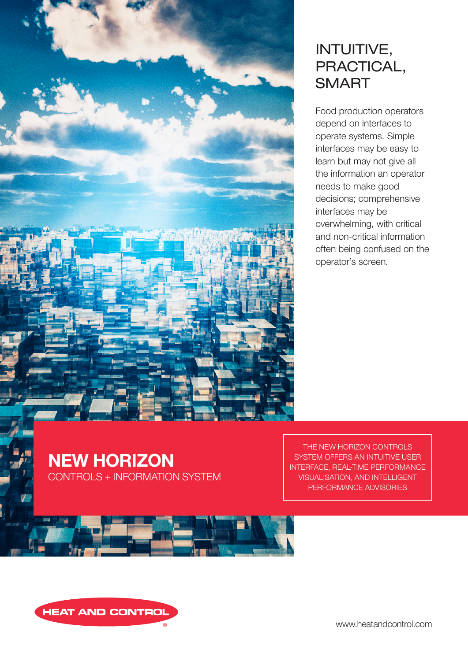

# INTUITIVE, PRACTICAL, **SMART**

Food production operators depend on interfaces to operate systems. Simple interfaces may be easy to learn but may not give all the information an operator needs to make good decisions; comprehensive interfaces may be overwhelming, with critical and non-critical information often being confused on the operator's screen.

NEW HORIZON CONTROLS + INFORMATION SYSTEM

THE NEW HORIZON CONTROLS SYSTEM OFFERS AN INTUITIVE USER INTERFACE, REAL-TIME PERFORMANCE VISUALISATION, AND INTELLIGENT PERFORMANCE ADVISORIES





www.heatandcontrol.com